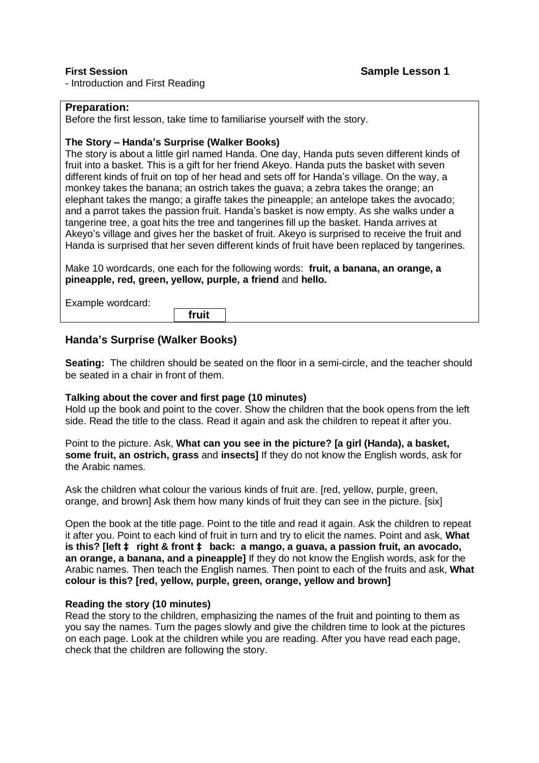- Introduction and First Reading

# **Preparation:**

Before the first lesson, take time to familiarise yourself with the story.

## **The Story – Handa's Surprise (Walker Books)**

The story is about a little girl named Handa. One day, Handa puts seven different kinds of fruit into a basket. This is a gift for her friend Akeyo. Handa puts the basket with seven different kinds of fruit on top of her head and sets off for Handa's village. On the way, a monkey takes the banana; an ostrich takes the guava; a zebra takes the orange; an elephant takes the mango; a giraffe takes the pineapple; an antelope takes the avocado; and a parrot takes the passion fruit. Handa's basket is now empty. As she walks under a tangerine tree, a goat hits the tree and tangerines fill up the basket. Handa arrives at Akeyo's village and gives her the basket of fruit. Akeyo is surprised to receive the fruit and Handa is surprised that her seven different kinds of fruit have been replaced by tangerines.

Make 10 wordcards, one each for the following words: **fruit, a banana, an orange, a pineapple, red, green, yellow, purple, a friend** and **hello.**

Example wordcard:

 **fruit** 

# **Handa's Surprise (Walker Books)**

**Seating:** The children should be seated on the floor in a semi-circle, and the teacher should be seated in a chair in front of them.

## **Talking about the cover and first page (10 minutes)**

Hold up the book and point to the cover. Show the children that the book opens from the left side. Read the title to the class. Read it again and ask the children to repeat it after you.

Point to the picture. Ask, **What can you see in the picture? [a girl (Handa), a basket, some fruit, an ostrich, grass** and **insects]** If they do not know the English words, ask for the Arabic names.

Ask the children what colour the various kinds of fruit are. [red, yellow, purple, green, orange, and brown] Ask them how many kinds of fruit they can see in the picture. [six]

Open the book at the title page. Point to the title and read it again. Ask the children to repeat it after you. Point to each kind of fruit in turn and try to elicit the names. Point and ask, **What is this? [left à right & front à back: a mango, a guava, a passion fruit, an avocado, an orange, a banana, and a pineapple]** If they do not know the English words, ask for the Arabic names. Then teach the English names. Then point to each of the fruits and ask, **What colour is this? [red, yellow, purple, green, orange, yellow and brown]**

## **Reading the story (10 minutes)**

Read the story to the children, emphasizing the names of the fruit and pointing to them as you say the names. Turn the pages slowly and give the children time to look at the pictures on each page. Look at the children while you are reading. After you have read each page, check that the children are following the story.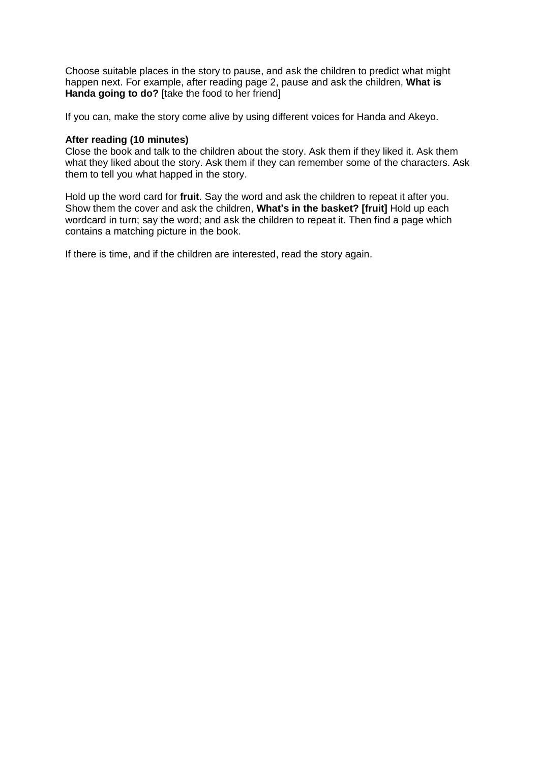Choose suitable places in the story to pause, and ask the children to predict what might happen next. For example, after reading page 2, pause and ask the children, **What is Handa going to do?** [take the food to her friend]

If you can, make the story come alive by using different voices for Handa and Akeyo.

## **After reading (10 minutes)**

Close the book and talk to the children about the story. Ask them if they liked it. Ask them what they liked about the story. Ask them if they can remember some of the characters. Ask them to tell you what happed in the story.

Hold up the word card for **fruit**. Say the word and ask the children to repeat it after you. Show them the cover and ask the children, **What's in the basket? [fruit]** Hold up each wordcard in turn; say the word; and ask the children to repeat it. Then find a page which contains a matching picture in the book.

If there is time, and if the children are interested, read the story again.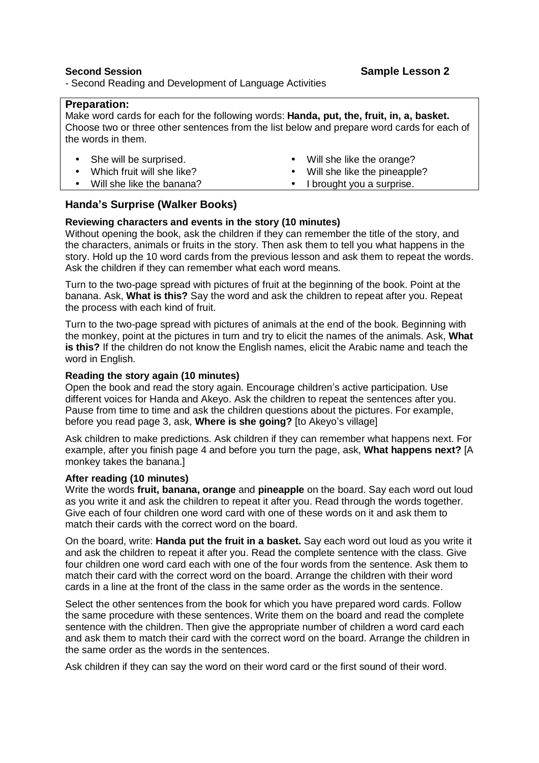- Second Reading and Development of Language Activities

## **Preparation:**

Make word cards for each for the following words: **Handa, put, the, fruit, in, a, basket.** Choose two or three other sentences from the list below and prepare word cards for each of the words in them.

She will be surprised.

- Will she like the orange?
- Will she like the pineapple?
- Which fruit will she like? • Will she like the banana?
- I brought you a surprise.

# **Handa's Surprise (Walker Books)**

# **Reviewing characters and events in the story (10 minutes)**

Without opening the book, ask the children if they can remember the title of the story, and the characters, animals or fruits in the story. Then ask them to tell you what happens in the story. Hold up the 10 word cards from the previous lesson and ask them to repeat the words. Ask the children if they can remember what each word means.

Turn to the two-page spread with pictures of fruit at the beginning of the book. Point at the banana. Ask, **What is this?** Say the word and ask the children to repeat after you. Repeat the process with each kind of fruit.

Turn to the two-page spread with pictures of animals at the end of the book. Beginning with the monkey, point at the pictures in turn and try to elicit the names of the animals. Ask, **What is this?** If the children do not know the English names, elicit the Arabic name and teach the word in English.

## **Reading the story again (10 minutes)**

Open the book and read the story again. Encourage children's active participation. Use different voices for Handa and Akeyo. Ask the children to repeat the sentences after you. Pause from time to time and ask the children questions about the pictures. For example, before you read page 3, ask, **Where is she going?** [to Akeyo's village]

Ask children to make predictions. Ask children if they can remember what happens next. For example, after you finish page 4 and before you turn the page, ask, **What happens next?** [A monkey takes the banana.]

## **After reading (10 minutes)**

Write the words **fruit, banana, orange** and **pineapple** on the board. Say each word out loud as you write it and ask the children to repeat it after you. Read through the words together. Give each of four children one word card with one of these words on it and ask them to match their cards with the correct word on the board.

On the board, write: **Handa put the fruit in a basket.** Say each word out loud as you write it and ask the children to repeat it after you. Read the complete sentence with the class. Give four children one word card each with one of the four words from the sentence. Ask them to match their card with the correct word on the board. Arrange the children with their word cards in a line at the front of the class in the same order as the words in the sentence.

Select the other sentences from the book for which you have prepared word cards. Follow the same procedure with these sentences. Write them on the board and read the complete sentence with the children. Then give the appropriate number of children a word card each and ask them to match their card with the correct word on the board. Arrange the children in the same order as the words in the sentences.

Ask children if they can say the word on their word card or the first sound of their word.